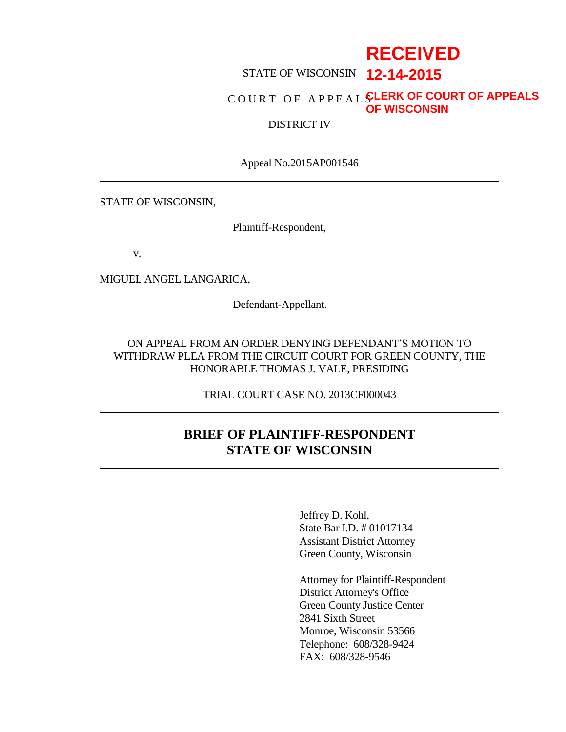# **RECEIVED**

# STATE OF WISCONSIN **12-14-2015**

### C O U R T O F A P P E A L S **CLERK OF COURT OF APPEALS OF WISCONSIN**

# DISTRICT IV

Appeal No.2015AP001546

STATE OF WISCONSIN,

Plaintiff-Respondent,

v.

MIGUEL ANGEL LANGARICA,

Defendant-Appellant.

# ON APPEAL FROM AN ORDER DENYING DEFENDANT'S MOTION TO WITHDRAW PLEA FROM THE CIRCUIT COURT FOR GREEN COUNTY, THE HONORABLE THOMAS J. VALE, PRESIDING

TRIAL COURT CASE NO. 2013CF000043

# **BRIEF OF PLAINTIFF-RESPONDENT STATE OF WISCONSIN**

Jeffrey D. Kohl, State Bar I.D. # 01017134 Assistant District Attorney Green County, Wisconsin

Attorney for Plaintiff-Respondent District Attorney's Office Green County Justice Center 2841 Sixth Street Monroe, Wisconsin 53566 Telephone: 608/328-9424 FAX: 608/328-9546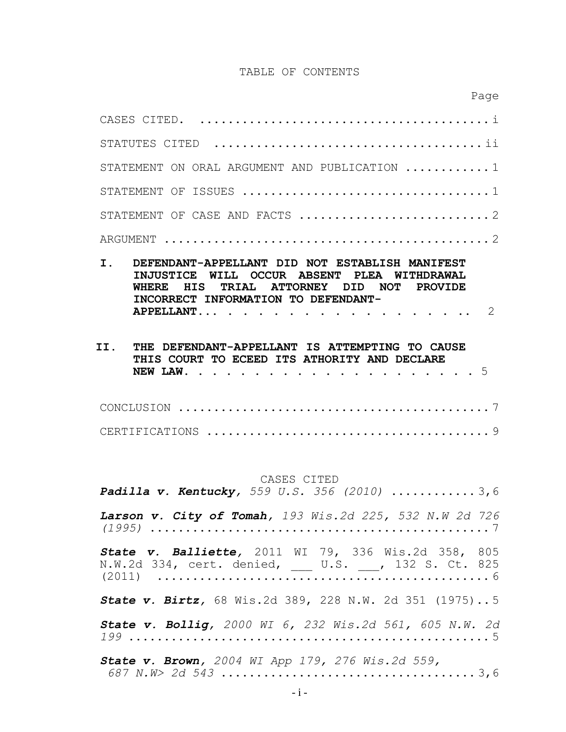#### TABLE OF CONTENTS

*687 N.W> 2d 543* .................................... 3,6

| STATEMENT ON ORAL ARGUMENT AND PUBLICATION  1                                                                                                                                                                                           |
|-----------------------------------------------------------------------------------------------------------------------------------------------------------------------------------------------------------------------------------------|
|                                                                                                                                                                                                                                         |
|                                                                                                                                                                                                                                         |
|                                                                                                                                                                                                                                         |
|                                                                                                                                                                                                                                         |
| $\mathbf{T}$ .<br>DEFENDANT-APPELLANT DID NOT ESTABLISH MANIFEST<br>INJUSTICE WILL OCCUR ABSENT PLEA WITHDRAWAL<br>TRIAL ATTORNEY DID NOT PROVIDE<br>HIS<br>WHERE.<br>INCORRECT INFORMATION TO DEFENDANT-<br>$\mathcal{L}$<br>APPELLANT |
| II.<br>DEFENDANT-APPELLANT IS ATTEMPTING TO CAUSE<br>THF.<br>THIS COURT TO ECEED ITS ATHORITY AND DECLARE                                                                                                                               |
|                                                                                                                                                                                                                                         |

#### CASES CITED

*Padilla v. Kentucky, 559 U.S. 356 (2010)* ............ 3,6 *Larson v. City of Tomah, 193 Wis.2d 225, 532 N.W 2d 726 (1995)* ................................................ 7 *State v. Balliette,* 2011 WI 79, 336 Wis.2d 358, 805 N.W.2d 334, cert. denied, \_\_\_ U.S. \_\_\_, 132 S. Ct. 825 (2011) ............................................... 6 *State v. Birtz,* 68 Wis.2d 389, 228 N.W. 2d 351 (1975)..5 *State v. Bollig, 2000 WI 6, 232 Wis.2d 561, 605 N.W. 2d 199* ................................................... 5 *State v. Brown, 2004 WI App 179, 276 Wis.2d 559,*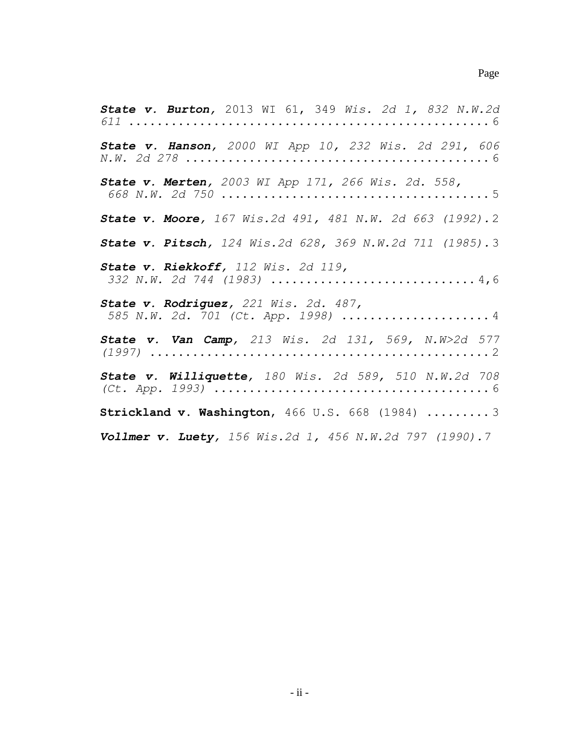*State v. Burton,* 2013 WI 61, 349 *Wis. 2d 1, 832 N.W.2d 611* ................................................... 6 *State v. Hanson, 2000 WI App 10, 232 Wis. 2d 291, 606 N.W. 2d 278* ........................................... 6 *State v. Merten, 2003 WI App 171, 266 Wis. 2d. 558, 668 N.W. 2d 750* ...................................... 5 *State v. Moore, 167 Wis.2d 491, 481 N.W. 2d 663 (1992).*2 *State v. Pitsch, 124 Wis.2d 628, 369 N.W.2d 711 (1985).*3 *State v. Riekkoff, 112 Wis. 2d 119, 332 N.W. 2d 744 (1983)* ............................. 4,6 *State v. Rodriguez, 221 Wis. 2d. 487, 585 N.W. 2d. 701 (Ct. App. 1998)* ..................... 4 *State v. Van Camp, 213 Wis. 2d 131, 569, N.W>2d 577 (1997)* ................................................ 2 *State v. Williquette, 180 Wis. 2d 589, 510 N.W.2d 708 (Ct. App. 1993)* ....................................... 6 **Strickland v. Washington**, 466 U.S. 668 (1984) ......... 3 *Vollmer v. Luety, 156 Wis.2d 1, 456 N.W.2d 797 (1990).7*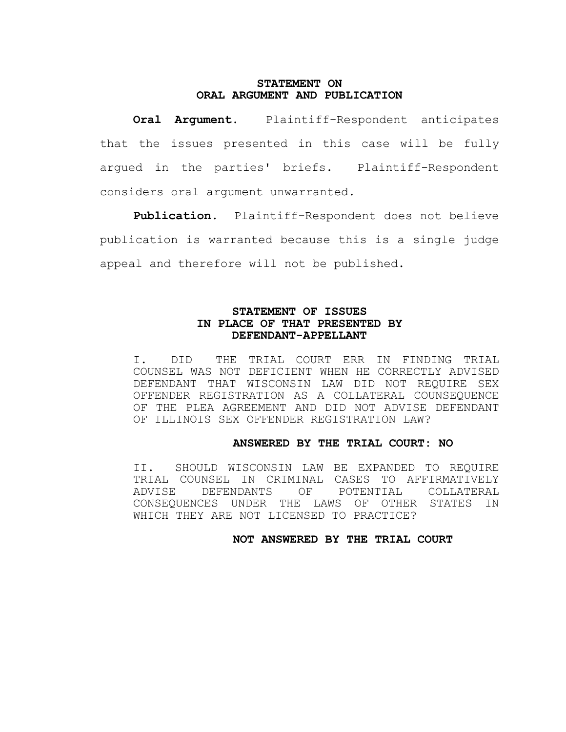#### **STATEMENT ON ORAL ARGUMENT AND PUBLICATION**

**Oral Argument.** Plaintiff-Respondent anticipates that the issues presented in this case will be fully argued in the parties' briefs. Plaintiff-Respondent considers oral argument unwarranted.

**Publication.** Plaintiff-Respondent does not believe publication is warranted because this is a single judge appeal and therefore will not be published.

# **STATEMENT OF ISSUES IN PLACE OF THAT PRESENTED BY DEFENDANT-APPELLANT**

I. DID THE TRIAL COURT ERR IN FINDING TRIAL COUNSEL WAS NOT DEFICIENT WHEN HE CORRECTLY ADVISED DEFENDANT THAT WISCONSIN LAW DID NOT REQUIRE SEX OFFENDER REGISTRATION AS A COLLATERAL COUNSEQUENCE OF THE PLEA AGREEMENT AND DID NOT ADVISE DEFENDANT OF ILLINOIS SEX OFFENDER REGISTRATION LAW?

## **ANSWERED BY THE TRIAL COURT: NO**

II. SHOULD WISCONSIN LAW BE EXPANDED TO REQUIRE TRIAL COUNSEL IN CRIMINAL CASES TO AFFIRMATIVELY ADVISE DEFENDANTS OF POTENTIAL COLLATERAL CONSEQUENCES UNDER THE LAWS OF OTHER STATES IN WHICH THEY ARE NOT LICENSED TO PRACTICE?

#### **NOT ANSWERED BY THE TRIAL COURT**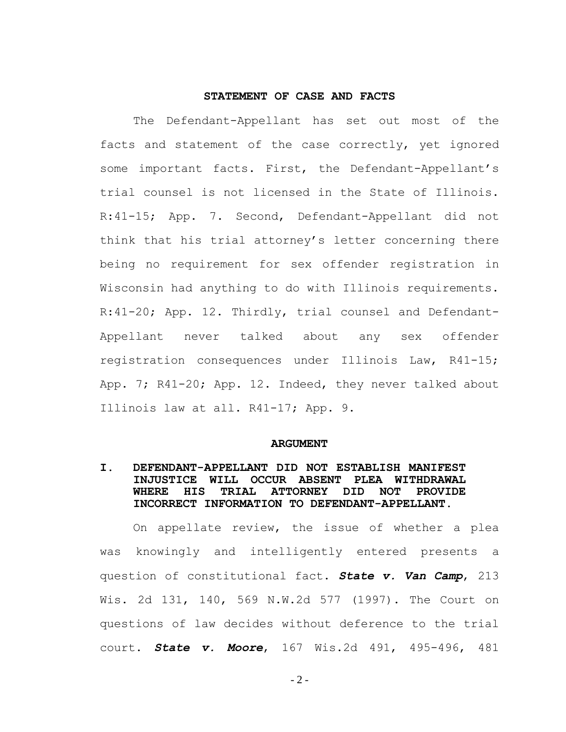## **STATEMENT OF CASE AND FACTS**

The Defendant-Appellant has set out most of the facts and statement of the case correctly, yet ignored some important facts. First, the Defendant-Appellant's trial counsel is not licensed in the State of Illinois. R:41-15; App. 7. Second, Defendant-Appellant did not think that his trial attorney's letter concerning there being no requirement for sex offender registration in Wisconsin had anything to do with Illinois requirements. R:41-20; App. 12. Thirdly, trial counsel and Defendant-Appellant never talked about any sex offender registration consequences under Illinois Law, R41-15; App. 7; R41-20; App. 12. Indeed, they never talked about Illinois law at all. R41-17; App. 9.

#### **ARGUMENT**

# **I. DEFENDANT-APPELLANT DID NOT ESTABLISH MANIFEST INJUSTICE WILL OCCUR ABSENT PLEA WITHDRAWAL WHERE HIS TRIAL ATTORNEY DID NOT PROVIDE INCORRECT INFORMATION TO DEFENDANT-APPELLANT.**

On appellate review, the issue of whether a plea was knowingly and intelligently entered presents a question of constitutional fact. *State v. Van Camp*, 213 Wis. 2d 131, 140, 569 N.W.2d 577 (1997). The Court on questions of law decides without deference to the trial court. *State v. Moore*, 167 Wis.2d 491, 495-496, 481

 $-2-$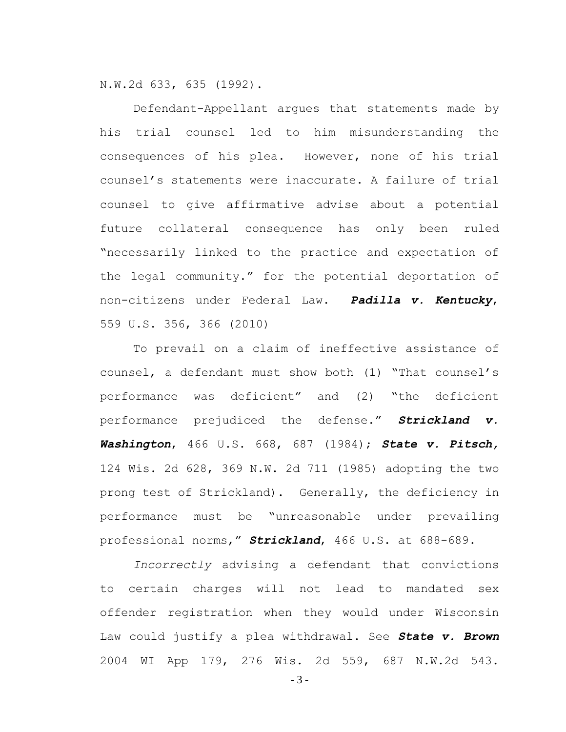N.W.2d 633, 635 (1992).

Defendant-Appellant argues that statements made by his trial counsel led to him misunderstanding the consequences of his plea. However, none of his trial counsel's statements were inaccurate. A failure of trial counsel to give affirmative advise about a potential future collateral consequence has only been ruled "necessarily linked to the practice and expectation of the legal community." for the potential deportation of non-citizens under Federal Law. *Padilla v. Kentucky*, 559 U.S. 356, 366 (2010)

To prevail on a claim of ineffective assistance of counsel, a defendant must show both (1) "That counsel's performance was deficient" and (2) "the deficient performance prejudiced the defense." *Strickland v. Washington*, 466 U.S. 668, 687 (1984); *State v. Pitsch,* 124 Wis. 2d 628, 369 N.W. 2d 711 (1985) adopting the two prong test of Strickland). Generally, the deficiency in performance must be "unreasonable under prevailing professional norms," *Strickland*, 466 U.S. at 688-689.

*Incorrectly* advising a defendant that convictions to certain charges will not lead to mandated sex offender registration when they would under Wisconsin Law could justify a plea withdrawal. See *State v. Brown* 2004 WI App 179, 276 Wis. 2d 559, 687 N.W.2d 543.

- 3 -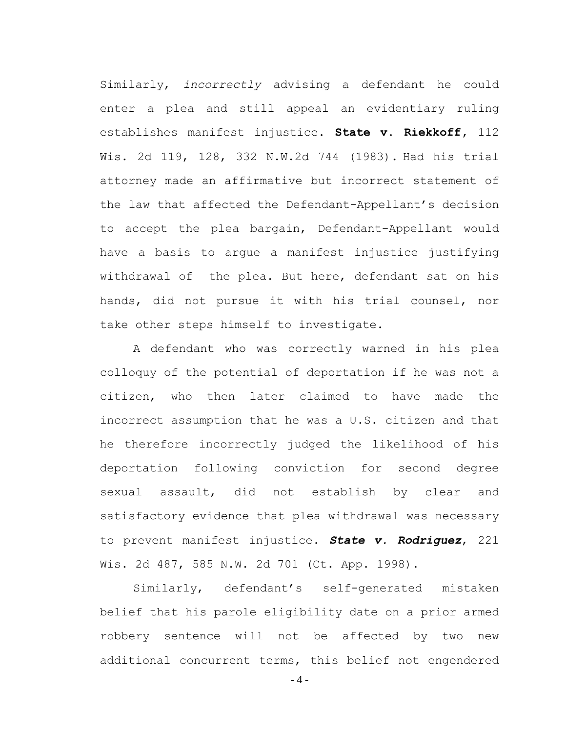Similarly, *incorrectly* advising a defendant he could enter a plea and still appeal an evidentiary ruling establishes manifest injustice. **State v. Riekkoff,** 112 Wis. 2d 119, 128, 332 N.W.2d 744 (1983). Had his trial attorney made an affirmative but incorrect statement of the law that affected the Defendant-Appellant's decision to accept the plea bargain, Defendant-Appellant would have a basis to argue a manifest injustice justifying withdrawal of the plea. But here, defendant sat on his hands, did not pursue it with his trial counsel, nor take other steps himself to investigate.

A defendant who was correctly warned in his plea colloquy of the potential of deportation if he was not a citizen, who then later claimed to have made the incorrect assumption that he was a U.S. citizen and that he therefore incorrectly judged the likelihood of his deportation following conviction for second degree sexual assault, did not establish by clear and satisfactory evidence that plea withdrawal was necessary to prevent manifest injustice. *State v. Rodriguez*, 221 Wis. 2d 487, 585 N.W. 2d 701 (Ct. App. 1998).

Similarly, defendant's self-generated mistaken belief that his parole eligibility date on a prior armed robbery sentence will not be affected by two new additional concurrent terms, this belief not engendered

- 4 -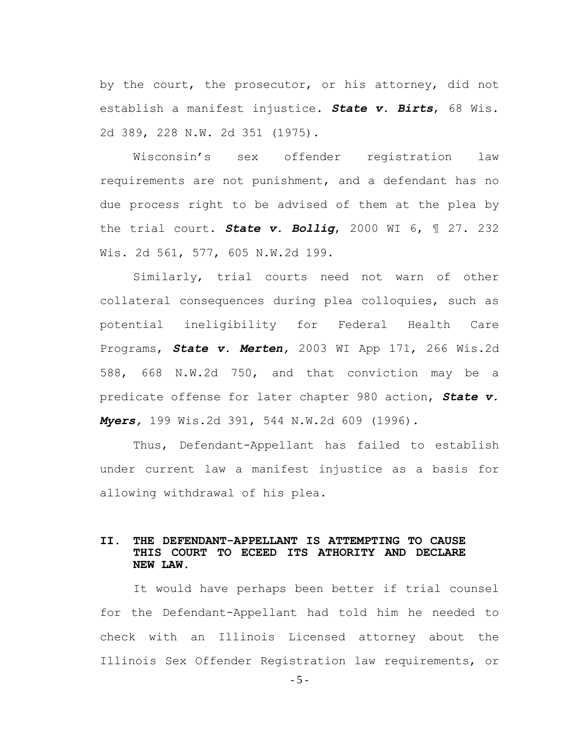by the court, the prosecutor, or his attorney, did not establish a manifest injustice. *State v. Birts*, 68 Wis. 2d 389, 228 N.W. 2d 351 (1975).

Wisconsin's sex offender registration law requirements are not punishment, and a defendant has no due process right to be advised of them at the plea by the trial court. *State v. Bollig*, 2000 WI 6, ¶ 27. 232 Wis. 2d 561, 577, 605 N.W.2d 199.

Similarly, trial courts need not warn of other collateral consequences during plea colloquies, such as potential ineligibility for Federal Health Care Programs, *State v. Merten,* 2003 WI App 171, 266 Wis.2d 588, 668 N.W.2d 750, and that conviction may be a predicate offense for later chapter 980 action, *State v. Myers,* 199 Wis.2d 391, 544 N.W.2d 609 (1996).

Thus, Defendant-Appellant has failed to establish under current law a manifest injustice as a basis for allowing withdrawal of his plea.

# **II. THE DEFENDANT-APPELLANT IS ATTEMPTING TO CAUSE THIS COURT TO ECEED ITS ATHORITY AND DECLARE NEW LAW.**

It would have perhaps been better if trial counsel for the Defendant-Appellant had told him he needed to check with an Illinois Licensed attorney about the Illinois Sex Offender Registration law requirements, or

- 5 -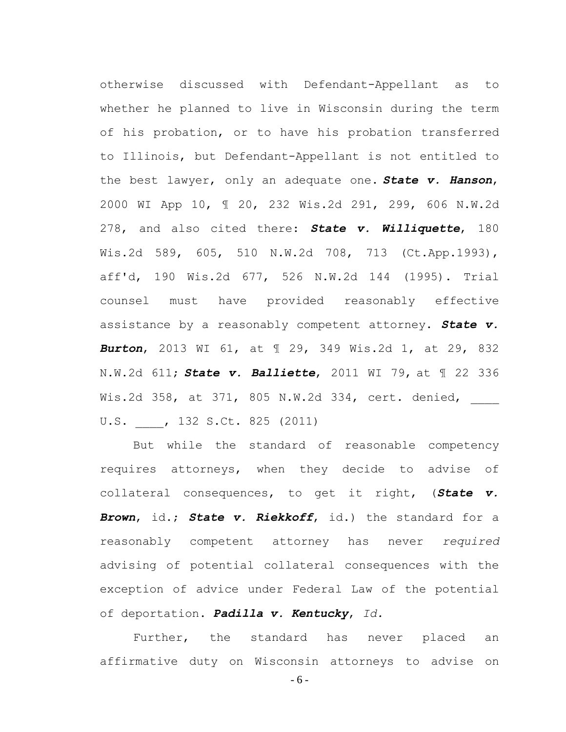otherwise discussed with Defendant-Appellant as to whether he planned to live in Wisconsin during the term of his probation, or to have his probation transferred to Illinois, but Defendant-Appellant is not entitled to the best lawyer, only an adequate one. *State v. Hanson*, 2000 WI App 10, ¶ 20, 232 Wis.2d 291, 299, 606 N.W.2d 278, and also cited there: *State v. Williquette*, 180 Wis.2d 589, 605, 510 N.W.2d 708, 713 (Ct.App.1993), aff'd, 190 Wis.2d 677, 526 N.W.2d 144 (1995). Trial counsel must have provided reasonably effective assistance by a reasonably competent attorney. *State v. Burton*, 2013 WI 61, at ¶ 29, 349 Wis.2d 1, at 29, 832 N.W.2d 611; *State v. Balliette*, 2011 WI 79, at ¶ 22 336 Wis.2d 358, at 371, 805 N.W.2d 334, cert. denied, U.S. \_\_\_\_, 132 S.Ct. 825 (2011)

But while the standard of reasonable competency requires attorneys, when they decide to advise of collateral consequences, to get it right, (*State v. Brown*, id.; *State v. Riekkoff*, id.) the standard for a reasonably competent attorney has never *required*  advising of potential collateral consequences with the exception of advice under Federal Law of the potential of deportation. *Padilla v. Kentucky*, *Id.*

Further, the standard has never placed an affirmative duty on Wisconsin attorneys to advise on

- 6 -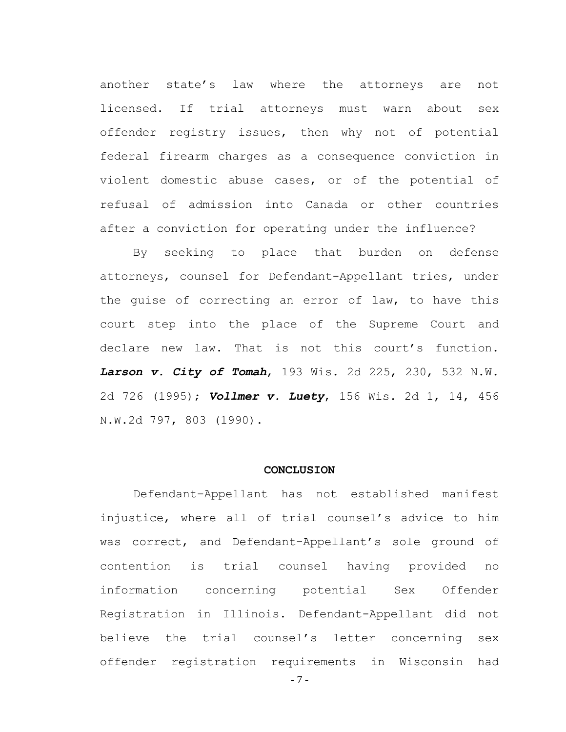another state's law where the attorneys are not licensed. If trial attorneys must warn about sex offender registry issues, then why not of potential federal firearm charges as a consequence conviction in violent domestic abuse cases, or of the potential of refusal of admission into Canada or other countries after a conviction for operating under the influence?

By seeking to place that burden on defense attorneys, counsel for Defendant-Appellant tries, under the guise of correcting an error of law, to have this court step into the place of the Supreme Court and declare new law. That is not this court's function. *Larson v. City of Tomah*, 193 Wis. 2d 225, 230, 532 N.W. 2d 726 (1995); *Vollmer v. Luety*, 156 Wis. 2d 1, 14, 456 N.W.2d 797, 803 (1990).

#### **CONCLUSION**

Defendant–Appellant has not established manifest injustice, where all of trial counsel's advice to him was correct, and Defendant-Appellant's sole ground of contention is trial counsel having provided no information concerning potential Sex Offender Registration in Illinois. Defendant-Appellant did not believe the trial counsel's letter concerning sex offender registration requirements in Wisconsin had

- 7 -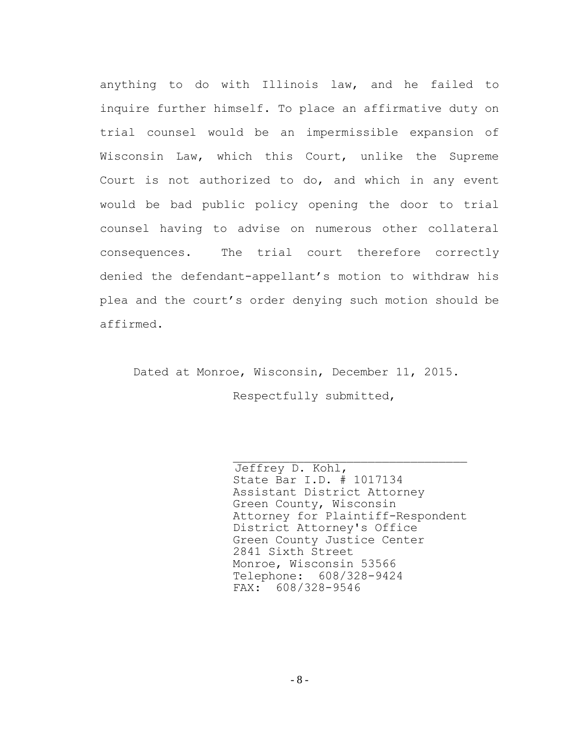anything to do with Illinois law, and he failed to inquire further himself. To place an affirmative duty on trial counsel would be an impermissible expansion of Wisconsin Law, which this Court, unlike the Supreme Court is not authorized to do, and which in any event would be bad public policy opening the door to trial counsel having to advise on numerous other collateral consequences. The trial court therefore correctly denied the defendant-appellant's motion to withdraw his plea and the court's order denying such motion should be affirmed.

Dated at Monroe, Wisconsin, December 11, 2015. Respectfully submitted,

> Jeffrey D. Kohl, State Bar I.D. # 1017134 Assistant District Attorney Green County, Wisconsin Attorney for Plaintiff-Respondent District Attorney's Office Green County Justice Center 2841 Sixth Street Monroe, Wisconsin 53566 Telephone: 608/328-9424 FAX: 608/328-9546